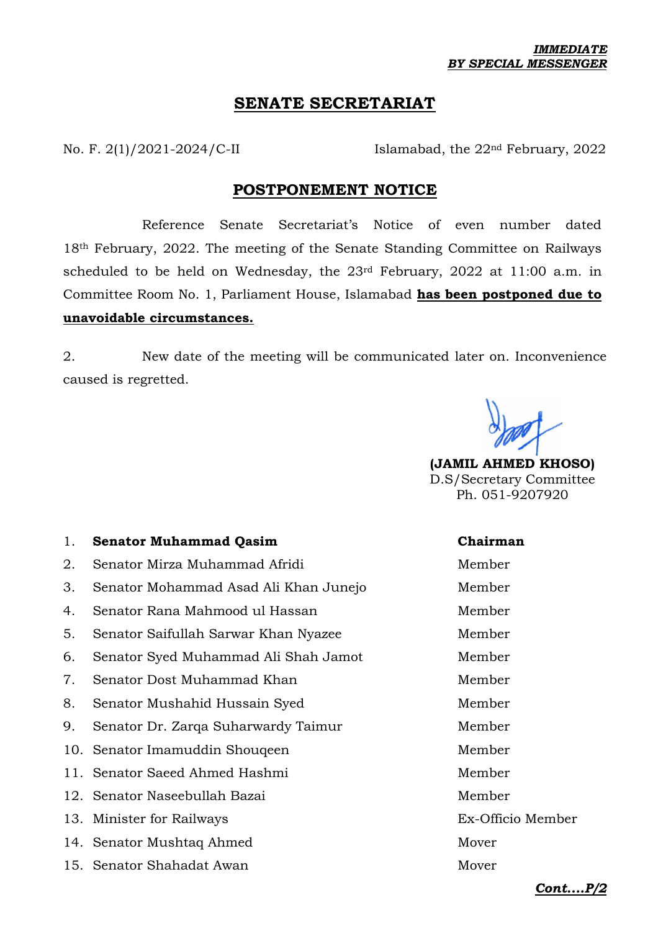# **SENATE SECRETARIAT**

No. F. 2(1)/2021-2024/C-II Islamabad, the 22<sup>nd</sup> February, 2022

## **POSTPONEMENT NOTICE**

Reference Senate Secretariat's Notice of even number dated 18th February, 2022. The meeting of the Senate Standing Committee on Railways scheduled to be held on Wednesday, the 23rd February, 2022 at 11:00 a.m. in Committee Room No. 1, Parliament House, Islamabad **has been postponed due to unavoidable circumstances.**

2. New date of the meeting will be communicated later on. Inconvenience caused is regretted.

**(JAMIL AHMED KHOSO)** D.S/Secretary Committee Ph. 051-9207920

### 1. **Senator Muhammad Qasim Chairman**

| 2. | Senator Mirza Muhammad Afridi         | Member            |
|----|---------------------------------------|-------------------|
| 3. | Senator Mohammad Asad Ali Khan Junejo | Member            |
| 4. | Senator Rana Mahmood ul Hassan        | Member            |
| 5. | Senator Saifullah Sarwar Khan Nyazee  | Member            |
| 6. | Senator Syed Muhammad Ali Shah Jamot  | Member            |
| 7. | Senator Dost Muhammad Khan            | Member            |
| 8. | Senator Mushahid Hussain Syed         | Member            |
| 9. | Senator Dr. Zarqa Suharwardy Taimur   | Member            |
|    | 10. Senator Imamuddin Shouqeen        | Member            |
|    | 11. Senator Saeed Ahmed Hashmi        | Member            |
|    | 12. Senator Naseebullah Bazai         | Member            |
|    | 13. Minister for Railways             | Ex-Officio Member |
|    | 14. Senator Mushtaq Ahmed             | Mover             |
|    | 15. Senator Shahadat Awan             | Mover             |

*Cont....P/2*